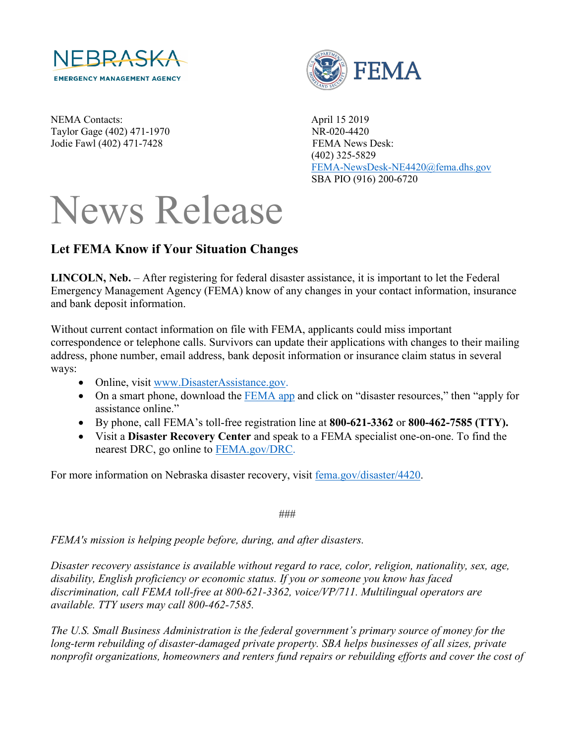

NEMA Contacts: April 15 2019 Taylor Gage (402) 471-1970 NR-020-4420 Jodie Fawl (402) 471-7428 FEMA News Desk:



 (402) 325-5829 [FEMA-NewsDesk-NE4420@fema.dhs.gov](mailto:FEMA-NewsDesk-NE4420@fema.dhs.gov) SBA PIO (916) 200-6720

## News Release

## **Let FEMA Know if Your Situation Changes**

**LINCOLN, Neb.** – After registering for federal disaster assistance, it is important to let the Federal Emergency Management Agency (FEMA) know of any changes in your contact information, insurance and bank deposit information.

Without current contact information on file with FEMA, applicants could miss important correspondence or telephone calls. Survivors can update their applications with changes to their mailing address, phone number, email address, bank deposit information or insurance claim status in several ways:

- Online, visit [www.DisasterAssistance.gov.](http://www.disasterassistance.gov/)
- On a smart phone, download the [FEMA app](https://www.fema.gov/mobile-app) and click on "disaster resources," then "apply for assistance online."
- By phone, call FEMA's toll-free registration line at **800-621-3362** or **800-462-7585 (TTY).**
- Visit a **Disaster Recovery Center** and speak to a FEMA specialist one-on-one. To find the nearest DRC, go online to [FEMA.gov/DRC.](http://www.fema.gov/DRC)

For more information on Nebraska disaster recovery, visit [fema.gov/disaster/4420.](http://www.fema.gov/disaster/4420)

###

*FEMA's mission is helping people before, during, and after disasters.*

*Disaster recovery assistance is available without regard to race, color, religion, nationality, sex, age, disability, English proficiency or economic status. If you or someone you know has faced discrimination, call FEMA toll-free at 800-621-3362, voice/VP/711. Multilingual operators are available. TTY users may call 800-462-7585.*

*The U.S. Small Business Administration is the federal government's primary source of money for the long-term rebuilding of disaster-damaged private property. SBA helps businesses of all sizes, private nonprofit organizations, homeowners and renters fund repairs or rebuilding efforts and cover the cost of*